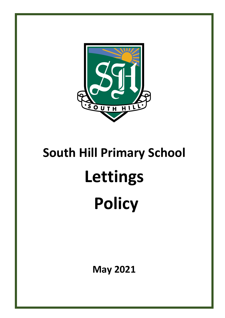

# **South Hill Primary School Lettings Policy**

**May 2021**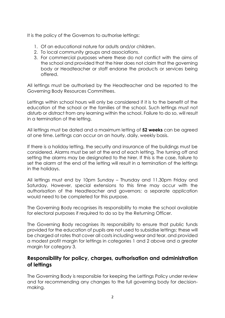It is the policy of the Governors to authorise lettings:

- 1. Of an educational nature for adults and/or children.
- 2. To local community groups and associations.
- 3. For commercial purposes where these do not conflict with the aims of the school and provided that the hirer does not claim that the governing body or Headteacher or staff endorse the products or services being offered.

All lettings must be authorised by the Headteacher and be reported to the Governing Body Resources Committees.

Lettings within school hours will only be considered if it is to the benefit of the education of the school or the families of the school. Such lettings must not disturb or distract from any learning within the school. Failure to do so, will result in a termination of the letting.

All lettings must be dated and a maximum letting of **52 weeks** can be agreed at one time. Lettings can occur on an hourly, daily, weekly basis.

If there is a holiday letting, the security and insurance of the buildings must be considered. Alarms must be set at the end of each letting. The turning off and setting the alarms may be designated to the hirer. If this is the case, failure to set the alarm at the end of the letting will result in a termination of the lettings in the holidays.

All lettings must end by 10pm Sunday – Thursday and 11.30pm Friday and Saturday. However, special extensions to this time may occur with the authorisation of the Headteacher and governors; a separate application would need to be completed for this purpose.

The Governing Body recognises its responsibility to make the school available for electoral purposes if required to do so by the Returning Officer.

The Governing Body recognises its responsibility to ensure that public funds provided for the education of pupils are not used to subsidise lettings: these will be charged at rates that cover all costs including wear and tear, and provided a modest profit margin for lettings in categories 1 and 2 above and a greater margin for category 3.

#### **Responsibility for policy, charges, authorisation and administration of lettings**

The Governing Body is responsible for keeping the Lettings Policy under review and for recommending any changes to the full governing body for decisionmaking.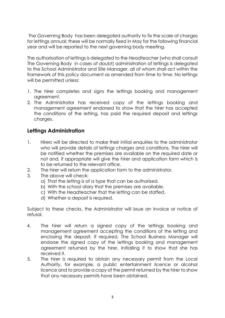The Governing Body has been delegated authority to fix the scale of charges for lettings annual; these will be normally fixed in May for the following financial year and will be reported to the next governing body meeting.

The authorisation of lettings is delegated to the Headteacher (who shall consult The Governing Body in cases of doubt) administration of lettings is delegated to the School Administrator and Site Manager, all of whom shall act within the framework of this policy document as amended from time to time. No lettings will be permitted unless:

- 1. The hirer completes and signs the lettings booking and management agreement.
- 2. The Administrator has received copy of the lettings booking and management agreement endorsed to show that the hirer has accepted the conditions of the letting, has paid the required deposit and lettings charges.

# **Lettings Administration**

- 1. Hirers will be directed to make their initial enquiries to the administrator who will provide details of lettings charges and conditions. The hirer will be notified whether the premises are available on the required date or not and, if appropriate will give the hirer and application form which is to be returned to the relevant office.
- 2. The hirer will return the application form to the administrator.
- 3. The above will check:
	- a) That the letting is of a type that can be authorised.
	- b) With the school diary that the premises are available.
	- c) With the Headteacher that the letting can be staffed.
	- d) Whether a deposit is required.

Subject to these checks, the Administrator will issue an invoice or notice of refusal.

- 4. The hirer will return a signed copy of the lettings booking and management agreement accepting the conditions of the letting and enclosing the deposit, if required. The School Business Manager will endorse the signed copy of the lettings booking and management agreement returned by the hirer, initialling it to show that she has received it.
- 5. The hirer is required to obtain any necessary permit from the Local Authority, for example, a public entertainment licence or alcohol licence and to provide a copy of the permit returned by the hirer to show that any necessary permits have been obtained.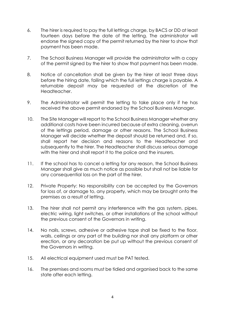- 6. The hirer is required to pay the full lettings charge, by BACS or DD at least fourteen days before the date of the letting. The administrator will endorse the signed copy of the permit returned by the hirer to show that payment has been made.
- 7. The School Business Manager will provide the administrator with a copy of the permit signed by the hirer to show that payment has been made.
- 8. Notice of cancellation shall be given by the hirer at least three days before the hiring date, failing which the full lettings charge is payable. A returnable deposit may be requested at the discretion of the Headteacher.
- 9. The Administrator will permit the letting to take place only if he has received the above permit endorsed by the School Business Manager.
- 10. The Site Manager will report to the School Business Manager whether any additional costs have been incurred because of extra cleaning, overrun of the lettings period, damage or other reasons. The School Business Manager will decide whether the deposit should be returned and, if so, shall report her decision and reasons to the Headteacher and subsequently to the hirer. The Headteacher shall discuss serious damage with the hirer and shall report it to the police and the insurers.
- 11. If the school has to cancel a letting for any reason, the School Business Manager shall give as much notice as possible but shall not be liable for any consequential loss on the part of the hirer.
- 12. Private Property: No responsibility can be accepted by the Governors for loss of, or damage to, any property, which may be brought onto the premises as a result of letting.
- 13. The hirer shall not permit any interference with the gas system, pipes, electric wiring, light switches, or other installations of the school without the previous consent of the Governors in writing.
- 14. No nails, screws, adhesive or adhesive tape shall be fixed to the floor, walls, ceilings or any part of the building nor shall any platform or other erection, or any decoration be put up without the previous consent of the Governors in writing.
- 15. All electrical equipment used must be PAT tested.
- 16. The premises and rooms must be tidied and organised back to the same state after each letting.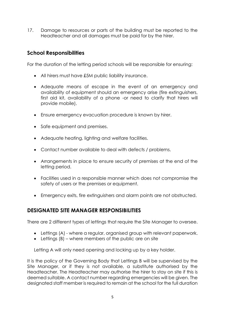17. Damage to resources or parts of the building must be reported to the Headteacher and all damages must be paid for by the hirer.

# **School Responsibilities**

For the duration of the letting period schools will be responsible for ensuring:

- All hirers must have £5M public liability insurance.
- Adequate means of escape in the event of an emergency and availability of equipment should an emergency arise (fire extinguishers, first aid kit, availability of a phone -or need to clarify that hirers will provide mobile).
- Ensure emergency evacuation procedure is known by hirer.
- Safe equipment and premises.
- Adequate heating, lighting and welfare facilities.
- Contact number available to deal with defects / problems.
- Arrangements in place to ensure security of premises at the end of the letting period.
- Facilities used in a responsible manner which does not compromise the safety of users or the premises or equipment.
- Emergency exits, fire extinguishers and alarm points are not obstructed.

#### **DESIGNATED SITE MANAGER RESPONSIBILITIES**

There are 2 different types of lettings that require the Site Manager to oversee.

- Lettings (A) where a regular, organised group with relevant paperwork.
- $\bullet$  Lettings (B) where members of the public are on site

Letting A will only need opening and locking up by a key holder.

It is the policy of the Governing Body that Lettings B will be supervised by the Site Manager, or if they is not available, a substitute authorised by the Headteacher. The Headteacher may authorise the hirer to stay on site if this is deemed suitable. A contact number regarding emergencies will be given. The designated staff member is required to remain at the school for the full duration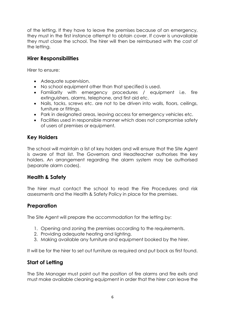of the letting. If they have to leave the premises because of an emergency, they must in the first instance attempt to obtain cover. If cover is unavailable they must close the school. The hirer will then be reimbursed with the cost of the letting.

## **Hirer Responsibilities**

Hirer to ensure:

- Adeauate supervision.
- No school equipment other than that specified is used.
- Familiarity with emergency procedures / equipment i.e. fire extinguishers, alarms, telephone, and first aid etc.
- Nails, tacks, screws etc. are not to be driven into walls, floors, ceilings, furniture or fittings.
- Park in designated areas, leaving access for emergency vehicles etc.
- Facilities used in responsible manner which does not compromise safety of users of premises or equipment.

# **Key Holders**

The school will maintain a list of key holders and will ensure that the Site Agent is aware of that list. The Governors and Headteacher authorises the key holders. An arrangement regarding the alarm system may be authorised (separate alarm codes).

## **Health & Safety**

The hirer must contact the school to read the Fire Procedures and risk assessments and the Health & Safety Policy in place for the premises.

#### **Preparation**

The Site Agent will prepare the accommodation for the letting by:

- 1. Opening and zoning the premises according to the requirements.
- 2. Providing adequate heating and lighting.
- 3. Making available any furniture and equipment booked by the hirer.

It will be for the hirer to set out furniture as required and put back as first found.

## **Start of Letting**

The Site Manager must point out the position of fire alarms and fire exits and must make available cleaning equipment in order that the hirer can leave the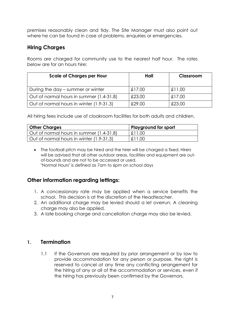premises reasonably clean and tidy. The Site Manager must also point out where he can be found in case of problems, enquiries or emergencies.

# **Hiring Charges**

Rooms are charged for community use to the nearest half hour. The rates below are for an hours hire:

| <b>Scale of Charges per Hour</b>         | Hall   | Classroom |
|------------------------------------------|--------|-----------|
| During the day – summer or winter        | £17.00 | £11,00    |
| Out of normal hours in summer (1.4-31.8) | £23.00 | £17.00    |
| Out of normal hours in winter (1.9-31.3) | £29.00 | £23.00    |

All hiring fees include use of cloakroom facilities for both adults and children.

| <b>Other Charges</b>                     | Playground for sport |
|------------------------------------------|----------------------|
| Out of normal hours in summer (1.4-31.8) | £11.00               |
| Out of normal hours in winter (1.9-31.3) | £11.00               |

 The football pitch may be hired and the hirer will be charged a fixed. Hirers will be advised that all other outdoor areas, facilities and equipment are outof-bounds and are not to be accessed or used. "Normal Hours" is defined as 7am to 6pm on school days

## **Other information regarding lettings:**

- 1. A concessionary rate may be applied when a service benefits the school. This decision is at the discretion of the Headteacher.
- 2. An additional charge may be levied should a let overrun. A cleaning charge may also be applied.
- 3. A late booking charge and cancellation charge may also be levied.

#### **1. Termination**

1.1 If the Governors are required by prior arrangement or by law to provide accommodation for any person or purpose, the right is reserved to cancel at any time any conflicting arrangement for the hiring of any or all of the accommodation or services, even if the hiring has previously been confirmed by the Governors.